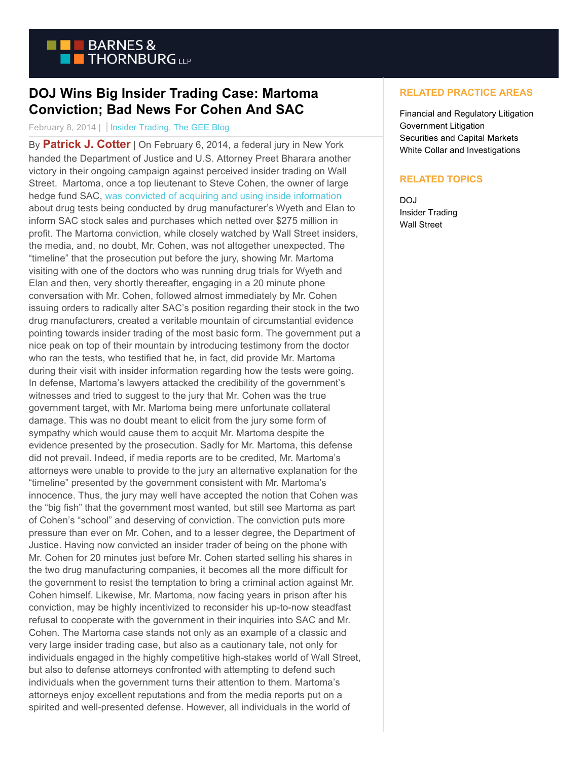

## **DOJ Wins Big Insider Trading Case: Martoma Conviction; Bad News For Cohen And SAC**

## February 8, 2014 | Insider Trading, The GEE Blog

By **[Patrick J. Cotter](http://www.btlaw.com/patrick-j-cotter/)** | On February 6, 2014, a federal jury in New York handed the Department of Justice and U.S. Attorney Preet Bharara another victory in their ongoing campaign against perceived insider trading on Wall Street. Martoma, once a top lieutenant to Steve Cohen, the owner of large hedge fund SAC, [was convicted of acquiring and using inside information](http://www.law360.com/securities/articles/507902?nl_pk=67d89a12-4c10-478c-b57f-24a2c85c1f5c&utm_source=newsletter&utm_medium=email&utm_campaign=securities) about drug tests being conducted by drug manufacturer's Wyeth and Elan to inform SAC stock sales and purchases which netted over \$275 million in profit. The Martoma conviction, while closely watched by Wall Street insiders, the media, and, no doubt, Mr. Cohen, was not altogether unexpected. The "timeline" that the prosecution put before the jury, showing Mr. Martoma visiting with one of the doctors who was running drug trials for Wyeth and Elan and then, very shortly thereafter, engaging in a 20 minute phone conversation with Mr. Cohen, followed almost immediately by Mr. Cohen issuing orders to radically alter SAC's position regarding their stock in the two drug manufacturers, created a veritable mountain of circumstantial evidence pointing towards insider trading of the most basic form. The government put a nice peak on top of their mountain by introducing testimony from the doctor who ran the tests, who testified that he, in fact, did provide Mr. Martoma during their visit with insider information regarding how the tests were going. In defense, Martoma's lawyers attacked the credibility of the government's witnesses and tried to suggest to the jury that Mr. Cohen was the true government target, with Mr. Martoma being mere unfortunate collateral damage. This was no doubt meant to elicit from the jury some form of sympathy which would cause them to acquit Mr. Martoma despite the evidence presented by the prosecution. Sadly for Mr. Martoma, this defense did not prevail. Indeed, if media reports are to be credited, Mr. Martoma's attorneys were unable to provide to the jury an alternative explanation for the "timeline" presented by the government consistent with Mr. Martoma's innocence. Thus, the jury may well have accepted the notion that Cohen was the "big fish" that the government most wanted, but still see Martoma as part of Cohen's "school" and deserving of conviction. The conviction puts more pressure than ever on Mr. Cohen, and to a lesser degree, the Department of Justice. Having now convicted an insider trader of being on the phone with Mr. Cohen for 20 minutes just before Mr. Cohen started selling his shares in the two drug manufacturing companies, it becomes all the more difficult for the government to resist the temptation to bring a criminal action against Mr. Cohen himself. Likewise, Mr. Martoma, now facing years in prison after his conviction, may be highly incentivized to reconsider his up-to-now steadfast refusal to cooperate with the government in their inquiries into SAC and Mr. Cohen. The Martoma case stands not only as an example of a classic and very large insider trading case, but also as a cautionary tale, not only for individuals engaged in the highly competitive high-stakes world of Wall Street, but also to defense attorneys confronted with attempting to defend such individuals when the government turns their attention to them. Martoma's attorneys enjoy excellent reputations and from the media reports put on a spirited and well-presented defense. However, all individuals in the world of

## **RELATED PRACTICE AREAS**

Financial and Regulatory Litigation Government Litigation Securities and Capital Markets White Collar and Investigations

## **RELATED TOPICS**

DOJ Insider Trading Wall Street